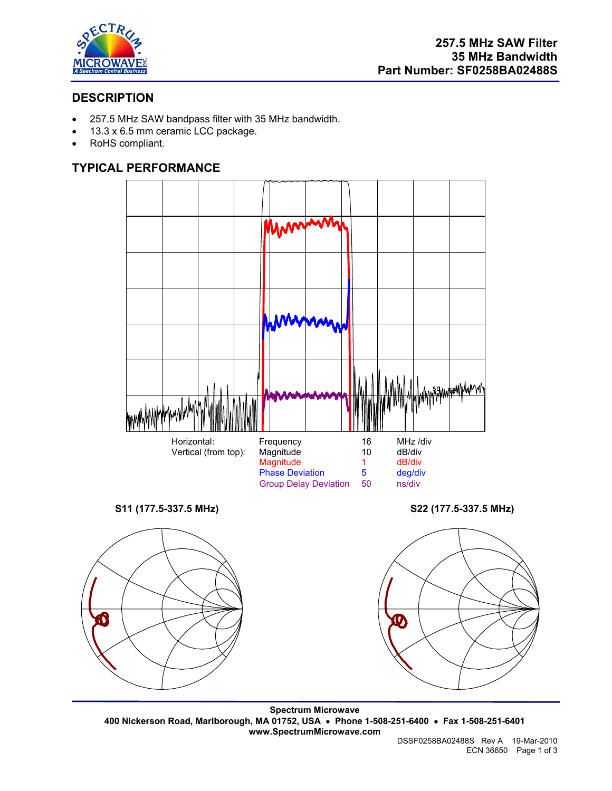

# **DESCRIPTION**

- 257.5 MHz SAW bandpass filter with 35 MHz bandwidth.
- 13.3 x 6.5 mm ceramic LCC package.
- RoHS compliant.

## **TYPICAL PERFORMANCE**

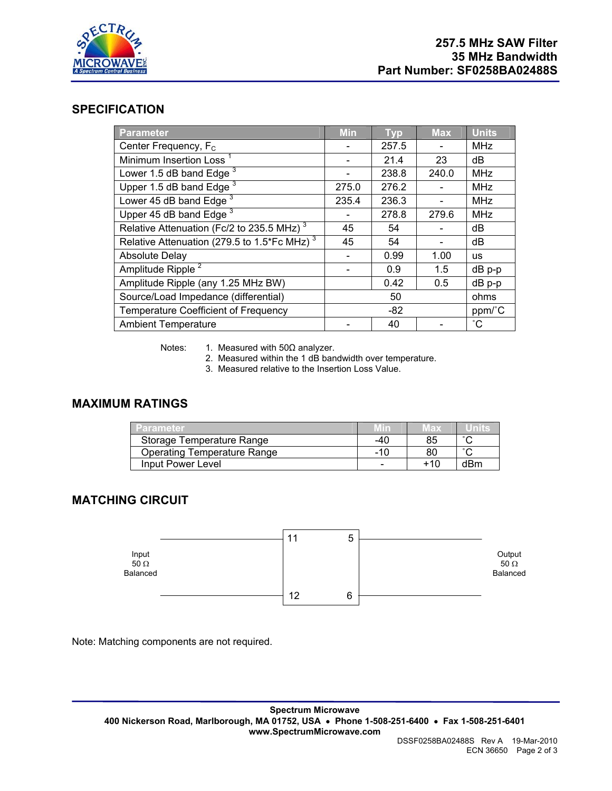

#### **SPECIFICATION**

| <b>Parameter</b>                                        | <b>Min</b> | <b>Typ</b> | <b>Max</b> | <b>Units</b> |
|---------------------------------------------------------|------------|------------|------------|--------------|
| Center Frequency, F <sub>c</sub>                        |            | 257.5      |            | <b>MHz</b>   |
| Minimum Insertion Loss <sup>1</sup>                     |            | 21.4       | 23         | dB           |
| Lower 1.5 dB band Edge <sup>3</sup>                     |            | 238.8      | 240.0      | <b>MHz</b>   |
| Upper 1.5 dB band Edge $3$                              | 275.0      | 276.2      |            | <b>MHz</b>   |
| Lower 45 dB band Edge <sup>3</sup>                      | 235.4      | 236.3      |            | <b>MHz</b>   |
| Upper 45 dB band Edge <sup>3</sup>                      |            | 278.8      | 279.6      | <b>MHz</b>   |
| Relative Attenuation (Fc/2 to 235.5 MHz) <sup>3</sup>   | 45         | 54         |            | dB           |
| Relative Attenuation (279.5 to 1.5*Fc MHz) <sup>3</sup> | 45         | 54         |            | dB           |
| <b>Absolute Delay</b>                                   |            | 0.99       | 1.00       | <b>us</b>    |
| Amplitude Ripple <sup>2</sup>                           |            | 0.9        | 1.5        | $dB$ p-p     |
| Amplitude Ripple (any 1.25 MHz BW)                      |            | 0.42       | 0.5        | $dB$ $p-p$   |
| Source/Load Impedance (differential)                    | 50         |            | ohms       |              |
| <b>Temperature Coefficient of Frequency</b>             | -82        |            | ppm/°C     |              |
| <b>Ambient Temperature</b>                              |            | 40         |            | $^{\circ}$ C |

Notes: 1. Measured with  $50\Omega$  analyzer.

2. Measured within the 1 dB bandwidth over temperature.

3. Measured relative to the Insertion Loss Value.

### **MAXIMUM RATINGS**

| Parameter                   | Min | мах |        |
|-----------------------------|-----|-----|--------|
| Storage Temperature Range   | -40 | 85  | $\sim$ |
| Operating Temperature Range | -10 | 80  | $\sim$ |
| Input Power Level           |     | +10 | dBm    |

# **MATCHING CIRCUIT**



Note: Matching components are not required.